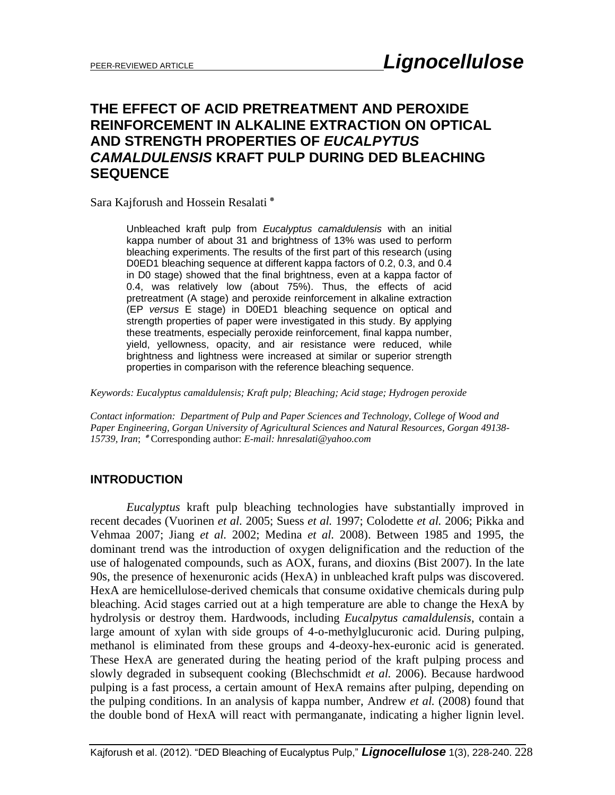# **THE EFFECT OF ACID PRETREATMENT AND PEROXIDE REINFORCEMENT IN ALKALINE EXTRACTION ON OPTICAL AND STRENGTH PROPERTIES OF** *EUCALPYTUS CAMALDULENSIS* **KRAFT PULP DURING DED BLEACHING SEQUENCE**

Sara Kajforush and Hossein Resalati ٭

Unbleached kraft pulp from *Eucalyptus camaldulensis* with an initial kappa number of about 31 and brightness of 13% was used to perform bleaching experiments. The results of the first part of this research (using D0ED1 bleaching sequence at different kappa factors of 0.2, 0.3, and 0.4 in D0 stage) showed that the final brightness, even at a kappa factor of 0.4, was relatively low (about 75%). Thus, the effects of acid pretreatment (A stage) and peroxide reinforcement in alkaline extraction (EP *versus* E stage) in D0ED1 bleaching sequence on optical and strength properties of paper were investigated in this study. By applying these treatments, especially peroxide reinforcement, final kappa number, yield, yellowness, opacity, and air resistance were reduced, while brightness and lightness were increased at similar or superior strength properties in comparison with the reference bleaching sequence.

*Keywords: Eucalyptus camaldulensis; Kraft pulp; Bleaching; Acid stage; Hydrogen peroxide*

*Contact information: Department of Pulp and Paper Sciences and Technology, College of Wood and Paper Engineering, Gorgan University of Agricultural Sciences and Natural Resources, Gorgan 49138- 15739, Iran*; ٭ Corresponding author: *E-mail: hnresalati@yahoo.com*

### **INTRODUCTION**

*Eucalyptus* kraft pulp bleaching technologies have substantially improved in recent decades (Vuorinen *et al.* 2005; Suess *et al.* 1997; Colodette *et al.* 2006; Pikka and Vehmaa 2007; Jiang *et al.* 2002; Medina *et al.* 2008). Between 1985 and 1995, the dominant trend was the introduction of oxygen delignification and the reduction of the use of halogenated compounds, such as AOX, furans, and dioxins (Bist 2007). In the late 90s, the presence of hexenuronic acids (HexA) in unbleached kraft pulps was discovered. HexA are hemicellulose-derived chemicals that consume oxidative chemicals during pulp bleaching. Acid stages carried out at a high temperature are able to change the HexA by hydrolysis or destroy them. Hardwoods, including *Eucalpytus camaldulensis*, contain a large amount of xylan with side groups of 4-o-methylglucuronic acid. During pulping, methanol is eliminated from these groups and 4-deoxy-hex-euronic acid is generated. These HexA are generated during the heating period of the kraft pulping process and slowly degraded in subsequent cooking (Blechschmidt *et al.* 2006). Because hardwood pulping is a fast process, a certain amount of HexA remains after pulping, depending on the pulping conditions. In an analysis of kappa number, Andrew *et al.* (2008) found that the double bond of HexA will react with permanganate, indicating a higher lignin level.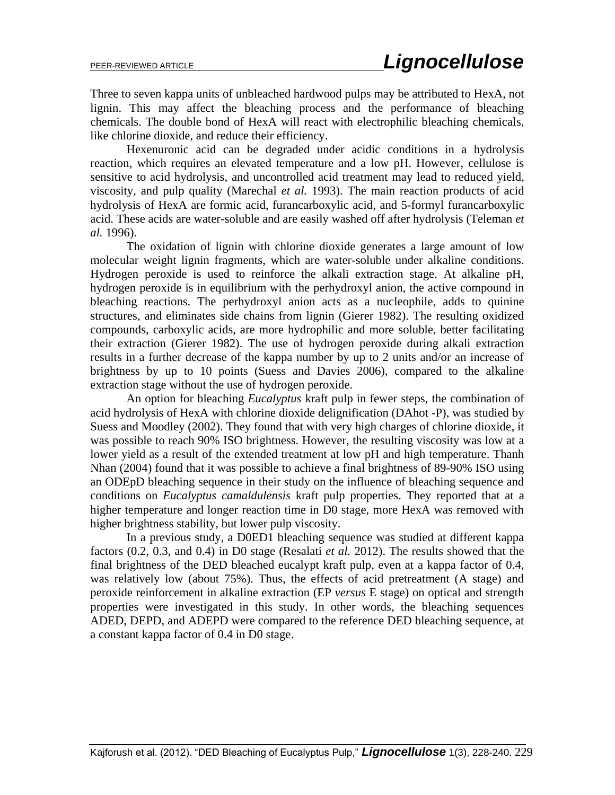Three to seven kappa units of unbleached hardwood pulps may be attributed to HexA, not lignin. This may affect the bleaching process and the performance of bleaching chemicals. The double bond of HexA will react with electrophilic bleaching chemicals, like chlorine dioxide, and reduce their efficiency.

Hexenuronic acid can be degraded under acidic conditions in a hydrolysis reaction, which requires an elevated temperature and a low pH. However, cellulose is sensitive to acid hydrolysis, and uncontrolled acid treatment may lead to reduced yield, viscosity, and pulp quality (Marechal *et al.* 1993). The main reaction products of acid hydrolysis of HexA are formic acid, furancarboxylic acid, and 5-formyl furancarboxylic acid. These acids are water-soluble and are easily washed off after hydrolysis (Teleman *et al.* 1996).

The oxidation of lignin with chlorine dioxide generates a large amount of low molecular weight lignin fragments, which are water-soluble under alkaline conditions. Hydrogen peroxide is used to reinforce the alkali extraction stage. At alkaline pH, hydrogen peroxide is in equilibrium with the perhydroxyl anion, the active compound in bleaching reactions. The perhydroxyl anion acts as a nucleophile, adds to quinine structures, and eliminates side chains from lignin (Gierer 1982). The resulting oxidized compounds, carboxylic acids, are more hydrophilic and more soluble, better facilitating their extraction (Gierer 1982). The use of hydrogen peroxide during alkali extraction results in a further decrease of the kappa number by up to 2 units and/or an increase of brightness by up to 10 points (Suess and Davies 2006), compared to the alkaline extraction stage without the use of hydrogen peroxide.

An option for bleaching *Eucalyptus* kraft pulp in fewer steps, the combination of acid hydrolysis of HexA with chlorine dioxide delignification (DAhot -P), was studied by Suess and Moodley (2002). They found that with very high charges of chlorine dioxide, it was possible to reach 90% ISO brightness. However, the resulting viscosity was low at a lower yield as a result of the extended treatment at low pH and high temperature. Thanh Nhan (2004) found that it was possible to achieve a final brightness of 89-90% ISO using an ODEpD bleaching sequence in their study on the influence of bleaching sequence and conditions on *Eucalyptus camaldulensis* kraft pulp properties. They reported that at a higher temperature and longer reaction time in D0 stage, more HexA was removed with higher brightness stability, but lower pulp viscosity.

In a previous study, a D0ED1 bleaching sequence was studied at different kappa factors (0.2, 0.3, and 0.4) in D0 stage (Resalati *et al.* 2012). The results showed that the final brightness of the DED bleached eucalypt kraft pulp, even at a kappa factor of 0.4, was relatively low (about 75%). Thus, the effects of acid pretreatment (A stage) and peroxide reinforcement in alkaline extraction (EP *versus* E stage) on optical and strength properties were investigated in this study. In other words, the bleaching sequences ADED, DEPD, and ADEPD were compared to the reference DED bleaching sequence, at a constant kappa factor of 0.4 in D0 stage.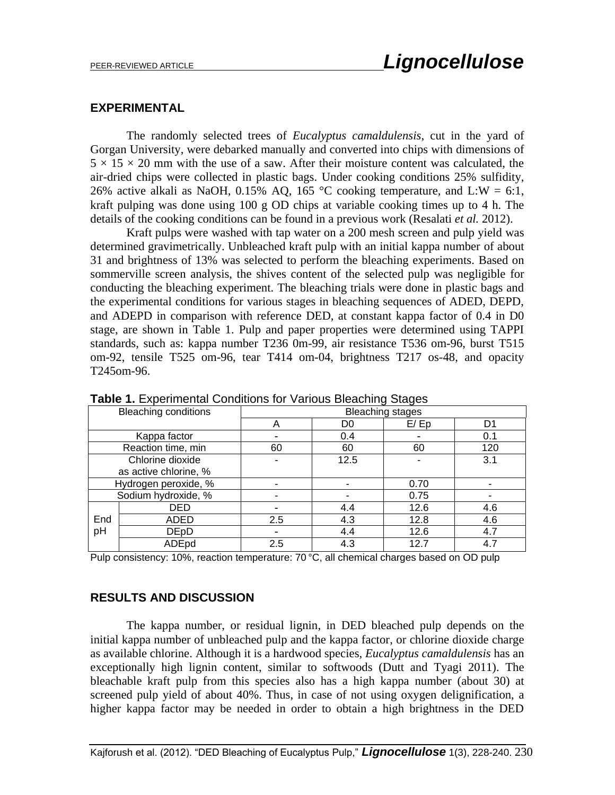#### **EXPERIMENTAL**

The randomly selected trees of *Eucalyptus camaldulensis*, cut in the yard of Gorgan University, were debarked manually and converted into chips with dimensions of  $5 \times 15 \times 20$  mm with the use of a saw. After their moisture content was calculated, the air-dried chips were collected in plastic bags. Under cooking conditions 25% sulfidity, 26% active alkali as NaOH, 0.15% AQ, 165 °C cooking temperature, and L:W = 6:1, kraft pulping was done using 100 g OD chips at variable cooking times up to 4 h. The details of the cooking conditions can be found in a previous work (Resalati *et al.* 2012).

Kraft pulps were washed with tap water on a 200 mesh screen and pulp yield was determined gravimetrically. Unbleached kraft pulp with an initial kappa number of about 31 and brightness of 13% was selected to perform the bleaching experiments. Based on sommerville screen analysis, the shives content of the selected pulp was negligible for conducting the bleaching experiment. The bleaching trials were done in plastic bags and the experimental conditions for various stages in bleaching sequences of ADED, DEPD, and ADEPD in comparison with reference DED, at constant kappa factor of 0.4 in D0 stage, are shown in Table 1. Pulp and paper properties were determined using TAPPI standards, such as: kappa number T236 0m-99, air resistance T536 om-96, burst T515 om-92, tensile T525 om-96, tear T414 om-04, brightness T217 os-48, and opacity T245om-96.

| <b>TWND III EXPORTITIONIAL OUTRIGHOND TOP VANDAD DIDAOITING ORGOO</b> |             |                         |      |      |     |
|-----------------------------------------------------------------------|-------------|-------------------------|------|------|-----|
| <b>Bleaching conditions</b>                                           |             | <b>Bleaching stages</b> |      |      |     |
|                                                                       |             | Α                       | D0   | E/Ep | D1  |
| Kappa factor                                                          |             |                         | 0.4  |      | 0.1 |
| Reaction time, min                                                    |             | 60                      | 60   | 60   | 120 |
| Chlorine dioxide                                                      |             |                         | 12.5 |      | 3.1 |
| as active chlorine, %                                                 |             |                         |      |      |     |
| Hydrogen peroxide, %                                                  |             |                         |      | 0.70 |     |
| Sodium hydroxide, %                                                   |             |                         |      | 0.75 |     |
|                                                                       | DED         |                         | 4.4  | 12.6 | 4.6 |
| End<br>pH                                                             | ADED        | 2.5                     | 4.3  | 12.8 | 4.6 |
|                                                                       | <b>DEpD</b> |                         | 4.4  | 12.6 | 4.7 |
|                                                                       | ADEpd       | 2.5                     | 4.3  | 12.7 | 4.7 |

**Table 1.** Experimental Conditions for Various Bleaching Stages

Pulp consistency: 10%, reaction temperature: 70 °C, all chemical charges based on OD pulp

### **RESULTS AND DISCUSSION**

The kappa number, or residual lignin, in DED bleached pulp depends on the initial kappa number of unbleached pulp and the kappa factor, or chlorine dioxide charge as available chlorine. Although it is a hardwood species, *Eucalyptus camaldulensis* has an exceptionally high lignin content, similar to softwoods (Dutt and Tyagi 2011). The bleachable kraft pulp from this species also has a high kappa number (about 30) at screened pulp yield of about 40%. Thus, in case of not using oxygen delignification, a higher kappa factor may be needed in order to obtain a high brightness in the DED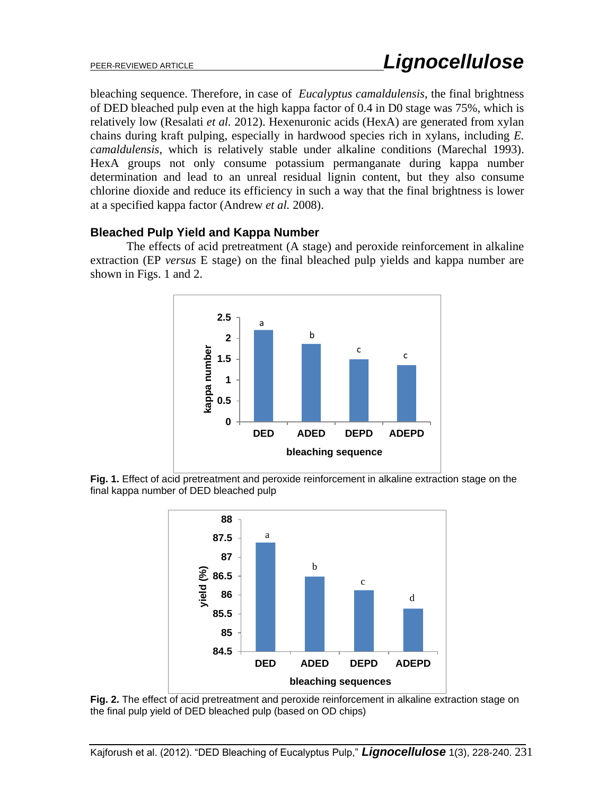bleaching sequence. Therefore, in case of *Eucalyptus camaldulensis*, the final brightness of DED bleached pulp even at the high kappa factor of 0.4 in D0 stage was 75%, which is relatively low (Resalati *et al.* 2012). Hexenuronic acids (HexA) are generated from xylan chains during kraft pulping, especially in hardwood species rich in xylans, including *E. camaldulensis*, which is relatively stable under alkaline conditions (Marechal 1993). HexA groups not only consume potassium permanganate during kappa number determination and lead to an unreal residual lignin content, but they also consume chlorine dioxide and reduce its efficiency in such a way that the final brightness is lower at a specified kappa factor (Andrew *et al.* 2008).

### **Bleached Pulp Yield and Kappa Number**

The effects of acid pretreatment (A stage) and peroxide reinforcement in alkaline extraction (EP *versus* E stage) on the final bleached pulp yields and kappa number are shown in Figs. 1 and 2.



**Fig. 1.** Effect of acid pretreatment and peroxide reinforcement in alkaline extraction stage on the final kappa number of DED bleached pulp



**Fig. 2.** The effect of acid pretreatment and peroxide reinforcement in alkaline extraction stage on the final pulp yield of DED bleached pulp (based on OD chips)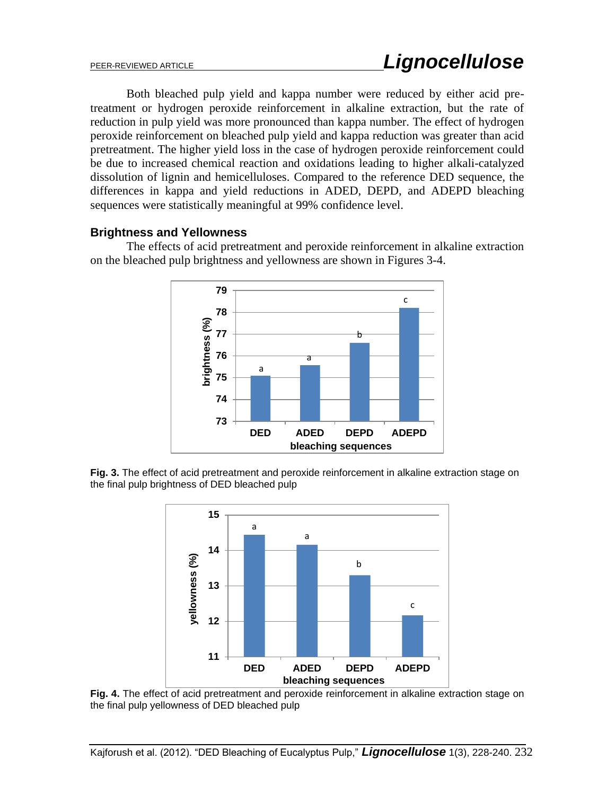Both bleached pulp yield and kappa number were reduced by either acid pretreatment or hydrogen peroxide reinforcement in alkaline extraction, but the rate of reduction in pulp yield was more pronounced than kappa number. The effect of hydrogen peroxide reinforcement on bleached pulp yield and kappa reduction was greater than acid pretreatment. The higher yield loss in the case of hydrogen peroxide reinforcement could be due to increased chemical reaction and oxidations leading to higher alkali-catalyzed dissolution of lignin and hemicelluloses. Compared to the reference DED sequence, the differences in kappa and yield reductions in ADED, DEPD, and ADEPD bleaching sequences were statistically meaningful at 99% confidence level.

### **Brightness and Yellowness**

**79** c **78** orightness (%) **brightness (%) 77** b **76** a a **75 74 73 DED ADED DEPD ADEPD bleaching sequences**

The effects of acid pretreatment and peroxide reinforcement in alkaline extraction on the bleached pulp brightness and yellowness are shown in Figures 3-4.

**Fig. 3.** The effect of acid pretreatment and peroxide reinforcement in alkaline extraction stage on the final pulp brightness of DED bleached pulp



**Fig. 4.** The effect of acid pretreatment and peroxide reinforcement in alkaline extraction stage on the final pulp yellowness of DED bleached pulp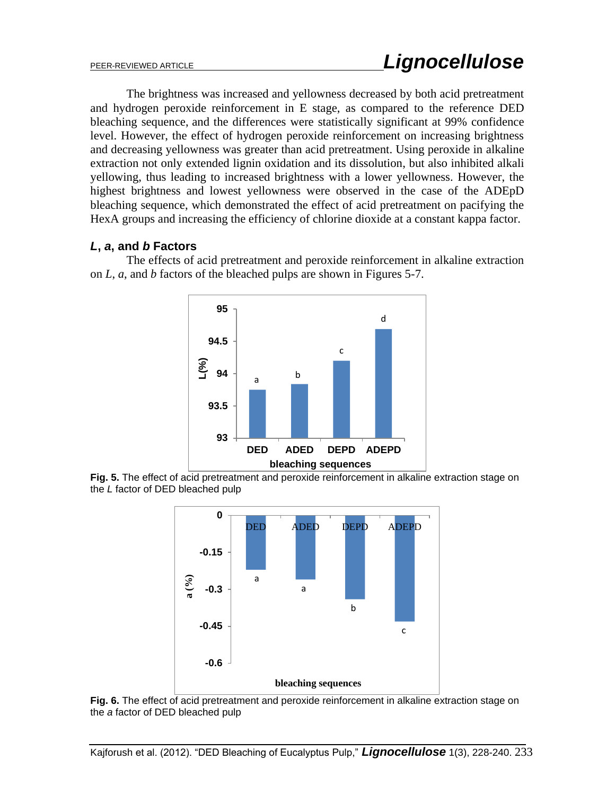The brightness was increased and yellowness decreased by both acid pretreatment and hydrogen peroxide reinforcement in E stage, as compared to the reference DED bleaching sequence, and the differences were statistically significant at 99% confidence level. However, the effect of hydrogen peroxide reinforcement on increasing brightness and decreasing yellowness was greater than acid pretreatment. Using peroxide in alkaline extraction not only extended lignin oxidation and its dissolution, but also inhibited alkali yellowing, thus leading to increased brightness with a lower yellowness. However, the highest brightness and lowest yellowness were observed in the case of the ADEpD bleaching sequence, which demonstrated the effect of acid pretreatment on pacifying the HexA groups and increasing the efficiency of chlorine dioxide at a constant kappa factor.

### *L***,** *a***, and** *b* **Factors**

The effects of acid pretreatment and peroxide reinforcement in alkaline extraction on *L*, *a*, and *b* factors of the bleached pulps are shown in Figures 5-7.



**Fig. 5.** The effect of acid pretreatment and peroxide reinforcement in alkaline extraction stage on the *L* factor of DED bleached pulp



**Fig. 6.** The effect of acid pretreatment and peroxide reinforcement in alkaline extraction stage on the *a* factor of DED bleached pulp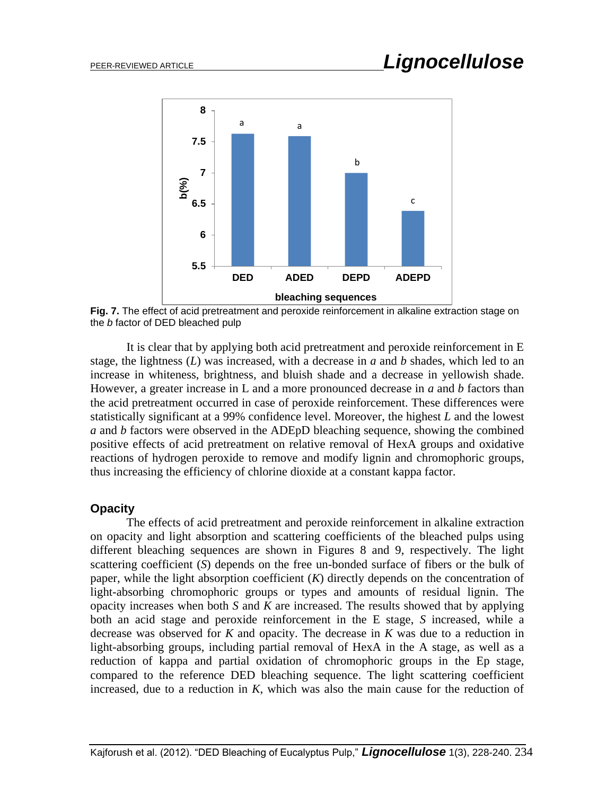

**Fig. 7.** The effect of acid pretreatment and peroxide reinforcement in alkaline extraction stage on the *b* factor of DED bleached pulp

It is clear that by applying both acid pretreatment and peroxide reinforcement in E stage, the lightness (*L*) was increased, with a decrease in *a* and *b* shades, which led to an increase in whiteness, brightness, and bluish shade and a decrease in yellowish shade. However, a greater increase in L and a more pronounced decrease in *a* and *b* factors than the acid pretreatment occurred in case of peroxide reinforcement. These differences were statistically significant at a 99% confidence level. Moreover, the highest *L* and the lowest *a* and *b* factors were observed in the ADEpD bleaching sequence, showing the combined positive effects of acid pretreatment on relative removal of HexA groups and oxidative reactions of hydrogen peroxide to remove and modify lignin and chromophoric groups, thus increasing the efficiency of chlorine dioxide at a constant kappa factor.

### **Opacity**

The effects of acid pretreatment and peroxide reinforcement in alkaline extraction on opacity and light absorption and scattering coefficients of the bleached pulps using different bleaching sequences are shown in Figures 8 and 9, respectively. The light scattering coefficient (*S*) depends on the free un-bonded surface of fibers or the bulk of paper, while the light absorption coefficient (*K*) directly depends on the concentration of light-absorbing chromophoric groups or types and amounts of residual lignin. The opacity increases when both *S* and *K* are increased. The results showed that by applying both an acid stage and peroxide reinforcement in the E stage, *S* increased, while a decrease was observed for *K* and opacity. The decrease in *K* was due to a reduction in light-absorbing groups, including partial removal of HexA in the A stage, as well as a reduction of kappa and partial oxidation of chromophoric groups in the Ep stage, compared to the reference DED bleaching sequence. The light scattering coefficient increased, due to a reduction in *K*, which was also the main cause for the reduction of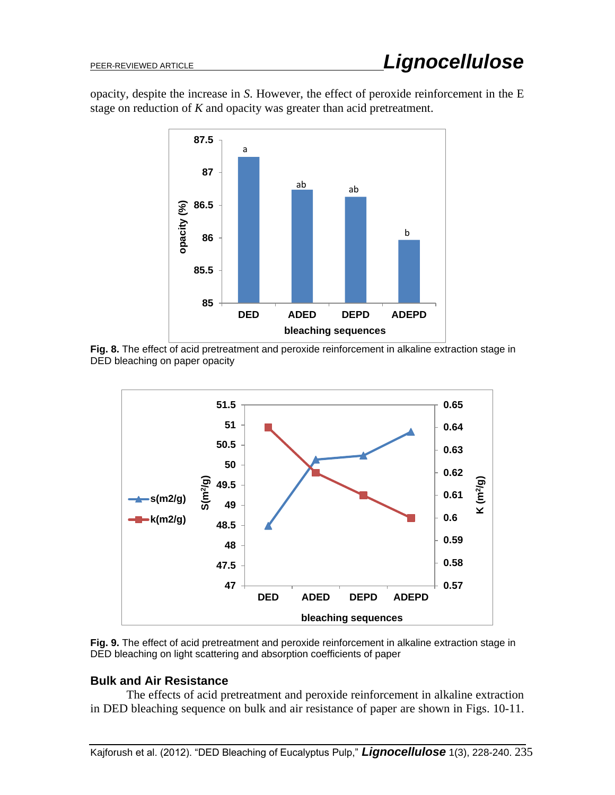opacity, despite the increase in *S*. However, the effect of peroxide reinforcement in the E stage on reduction of *K* and opacity was greater than acid pretreatment.



**Fig. 8.** The effect of acid pretreatment and peroxide reinforcement in alkaline extraction stage in DED bleaching on paper opacity



**Fig. 9.** The effect of acid pretreatment and peroxide reinforcement in alkaline extraction stage in DED bleaching on light scattering and absorption coefficients of paper

### **Bulk and Air Resistance**

The effects of acid pretreatment and peroxide reinforcement in alkaline extraction in DED bleaching sequence on bulk and air resistance of paper are shown in Figs. 10-11.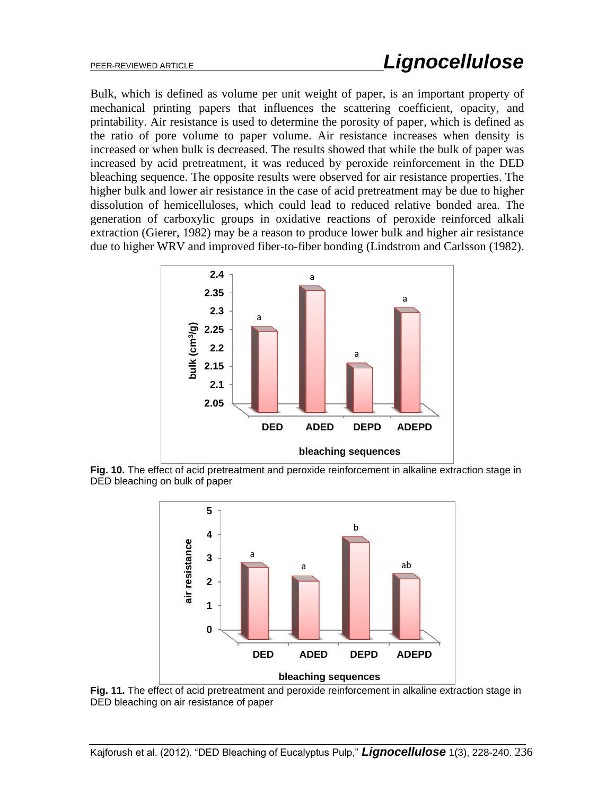Bulk, which is defined as volume per unit weight of paper, is an important property of mechanical printing papers that influences the scattering coefficient, opacity, and printability. Air resistance is used to determine the porosity of paper, which is defined as the ratio of pore volume to paper volume. Air resistance increases when density is increased or when bulk is decreased. The results showed that while the bulk of paper was increased by acid pretreatment, it was reduced by peroxide reinforcement in the DED bleaching sequence. The opposite results were observed for air resistance properties. The higher bulk and lower air resistance in the case of acid pretreatment may be due to higher dissolution of hemicelluloses, which could lead to reduced relative bonded area. The generation of carboxylic groups in oxidative reactions of peroxide reinforced alkali extraction (Gierer, 1982) may be a reason to produce lower bulk and higher air resistance due to higher WRV and improved fiber-to-fiber bonding (Lindstrom and Carlsson (1982).



**Fig. 10.** The effect of acid pretreatment and peroxide reinforcement in alkaline extraction stage in DED bleaching on bulk of paper



**Fig. 11.** The effect of acid pretreatment and peroxide reinforcement in alkaline extraction stage in DED bleaching on air resistance of paper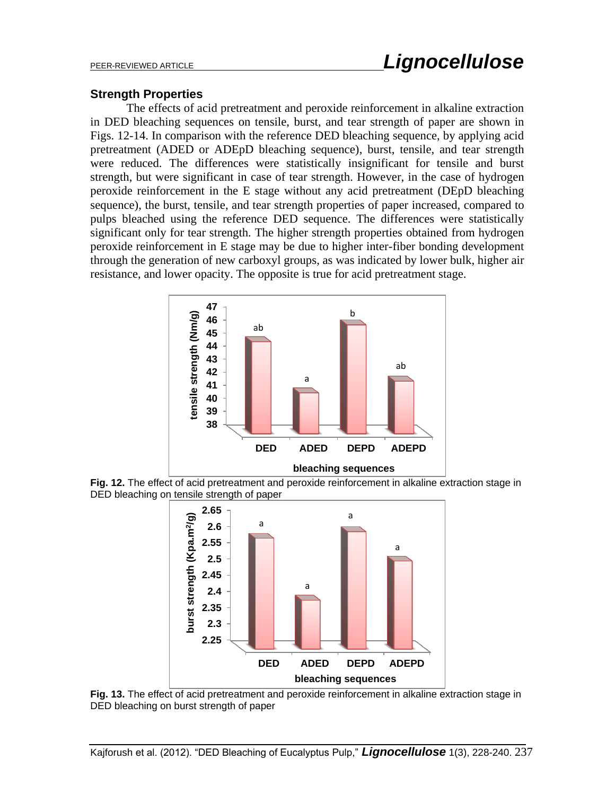#### **Strength Properties**

The effects of acid pretreatment and peroxide reinforcement in alkaline extraction in DED bleaching sequences on tensile, burst, and tear strength of paper are shown in Figs. 12-14. In comparison with the reference DED bleaching sequence, by applying acid pretreatment (ADED or ADEpD bleaching sequence), burst, tensile, and tear strength were reduced. The differences were statistically insignificant for tensile and burst strength, but were significant in case of tear strength. However, in the case of hydrogen peroxide reinforcement in the E stage without any acid pretreatment (DEpD bleaching sequence), the burst, tensile, and tear strength properties of paper increased, compared to pulps bleached using the reference DED sequence. The differences were statistically significant only for tear strength. The higher strength properties obtained from hydrogen peroxide reinforcement in E stage may be due to higher inter-fiber bonding development through the generation of new carboxyl groups, as was indicated by lower bulk, higher air resistance, and lower opacity. The opposite is true for acid pretreatment stage.



**Fig. 12.** The effect of acid pretreatment and peroxide reinforcement in alkaline extraction stage in DED bleaching on tensile strength of paper



**Fig. 13.** The effect of acid pretreatment and peroxide reinforcement in alkaline extraction stage in DED bleaching on burst strength of paper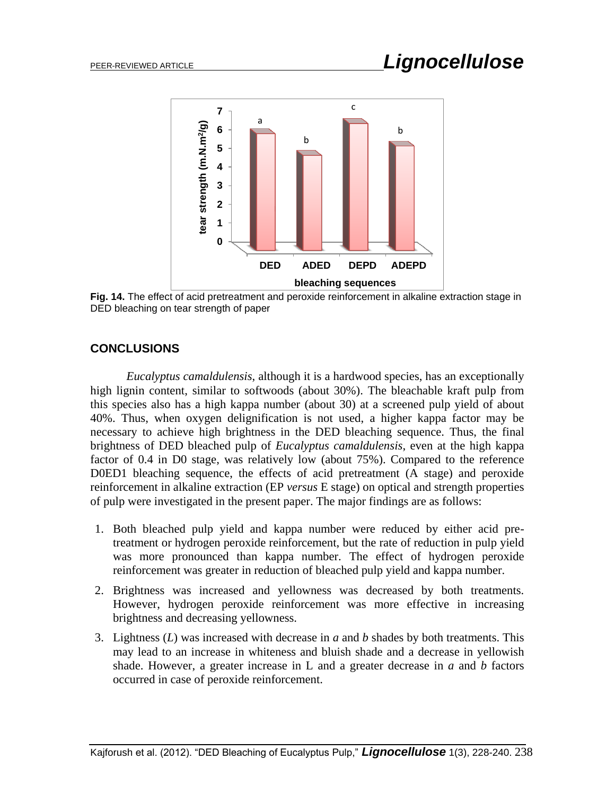

**Fig. 14.** The effect of acid pretreatment and peroxide reinforcement in alkaline extraction stage in DED bleaching on tear strength of paper

### **CONCLUSIONS**

*Eucalyptus camaldulensis*, although it is a hardwood species, has an exceptionally high lignin content, similar to softwoods (about 30%). The bleachable kraft pulp from this species also has a high kappa number (about 30) at a screened pulp yield of about 40%. Thus, when oxygen delignification is not used, a higher kappa factor may be necessary to achieve high brightness in the DED bleaching sequence. Thus, the final brightness of DED bleached pulp of *Eucalyptus camaldulensis*, even at the high kappa factor of 0.4 in D0 stage, was relatively low (about 75%). Compared to the reference D0ED1 bleaching sequence, the effects of acid pretreatment (A stage) and peroxide reinforcement in alkaline extraction (EP *versus* E stage) on optical and strength properties of pulp were investigated in the present paper. The major findings are as follows:

- 1. Both bleached pulp yield and kappa number were reduced by either acid pretreatment or hydrogen peroxide reinforcement, but the rate of reduction in pulp yield was more pronounced than kappa number. The effect of hydrogen peroxide reinforcement was greater in reduction of bleached pulp yield and kappa number.
- 2. Brightness was increased and yellowness was decreased by both treatments. However, hydrogen peroxide reinforcement was more effective in increasing brightness and decreasing yellowness.
- 3. Lightness (*L*) was increased with decrease in *a* and *b* shades by both treatments. This may lead to an increase in whiteness and bluish shade and a decrease in yellowish shade. However, a greater increase in L and a greater decrease in *a* and *b* factors occurred in case of peroxide reinforcement.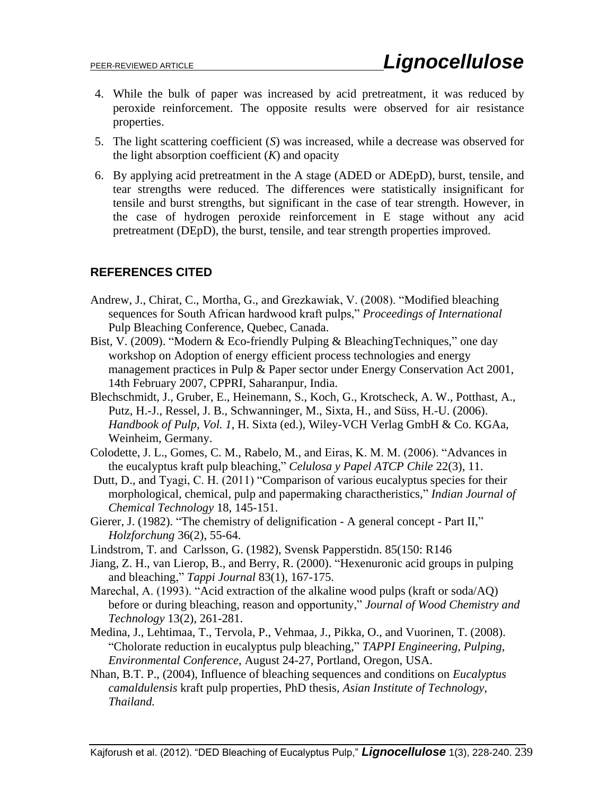- 4. While the bulk of paper was increased by acid pretreatment, it was reduced by peroxide reinforcement. The opposite results were observed for air resistance properties.
- 5. The light scattering coefficient (*S*) was increased, while a decrease was observed for the light absorption coefficient (*K*) and opacity
- 6. By applying acid pretreatment in the A stage (ADED or ADEpD), burst, tensile, and tear strengths were reduced. The differences were statistically insignificant for tensile and burst strengths, but significant in the case of tear strength. However, in the case of hydrogen peroxide reinforcement in E stage without any acid pretreatment (DEpD), the burst, tensile, and tear strength properties improved.

## **REFERENCES CITED**

- Andrew, J., Chirat, C., Mortha, G., and Grezkawiak, V. (2008). "Modified bleaching sequences for South African hardwood kraft pulps," *Proceedings of International*  Pulp Bleaching Conference, Quebec, Canada.
- Bist, V. (2009). "Modern & Eco-friendly Pulping & BleachingTechniques," one day workshop on Adoption of energy efficient process technologies and energy management practices in Pulp & Paper sector under Energy Conservation Act 2001, 14th February 2007, CPPRI, Saharanpur, India.
- Blechschmidt, J., Gruber, E., Heinemann, S., Koch, G., Krotscheck, A. W., Potthast, A., Putz, H.-J., Ressel, J. B., Schwanninger, M., Sixta, H., and Süss, H.-U. (2006). *Handbook of Pulp, Vol. 1*, H. Sixta (ed.), Wiley-VCH Verlag GmbH & Co. KGAa, Weinheim, Germany.
- Colodette, J. L., Gomes, C. M., Rabelo, M., and Eiras, K. M. M. (2006). "Advances in the eucalyptus kraft pulp bleaching," *Celulosa y Papel ATCP Chile* 22(3), 11.
- Dutt, D., and Tyagi, C. H. (2011) "Comparison of various eucalyptus species for their morphological, chemical, pulp and papermaking charactheristics," *Indian Journal of Chemical Technology* 18, 145-151.
- Gierer, J. (1982). "The chemistry of delignification A general concept Part II," *Holzforchung* 36(2), 55-64.
- Lindstrom, T. and Carlsson, G. (1982), Svensk Papperstidn. 85(150: R146
- Jiang, Z. H., van Lierop, B., and Berry, R. (2000). "Hexenuronic acid groups in pulping and bleaching," *Tappi Journal* 83(1), 167-175.
- Marechal, A. (1993). "Acid extraction of the alkaline wood pulps (kraft or soda/AQ) before or during bleaching, reason and opportunity," *Journal of Wood Chemistry and Technology* 13(2), 261-281.
- Medina, J., Lehtimaa, T., Tervola, P., Vehmaa, J., Pikka, O., and Vuorinen, T. (2008). "Cholorate reduction in eucalyptus pulp bleaching," *TAPPI Engineering, Pulping, Environmental Conference*, August 24-27, Portland, Oregon, USA.
- Nhan, B.T. P., (2004), Influence of bleaching sequences and conditions on *Eucalyptus camaldulensis* kraft pulp properties, PhD thesis, *Asian Institute of Technology, Thailand.*